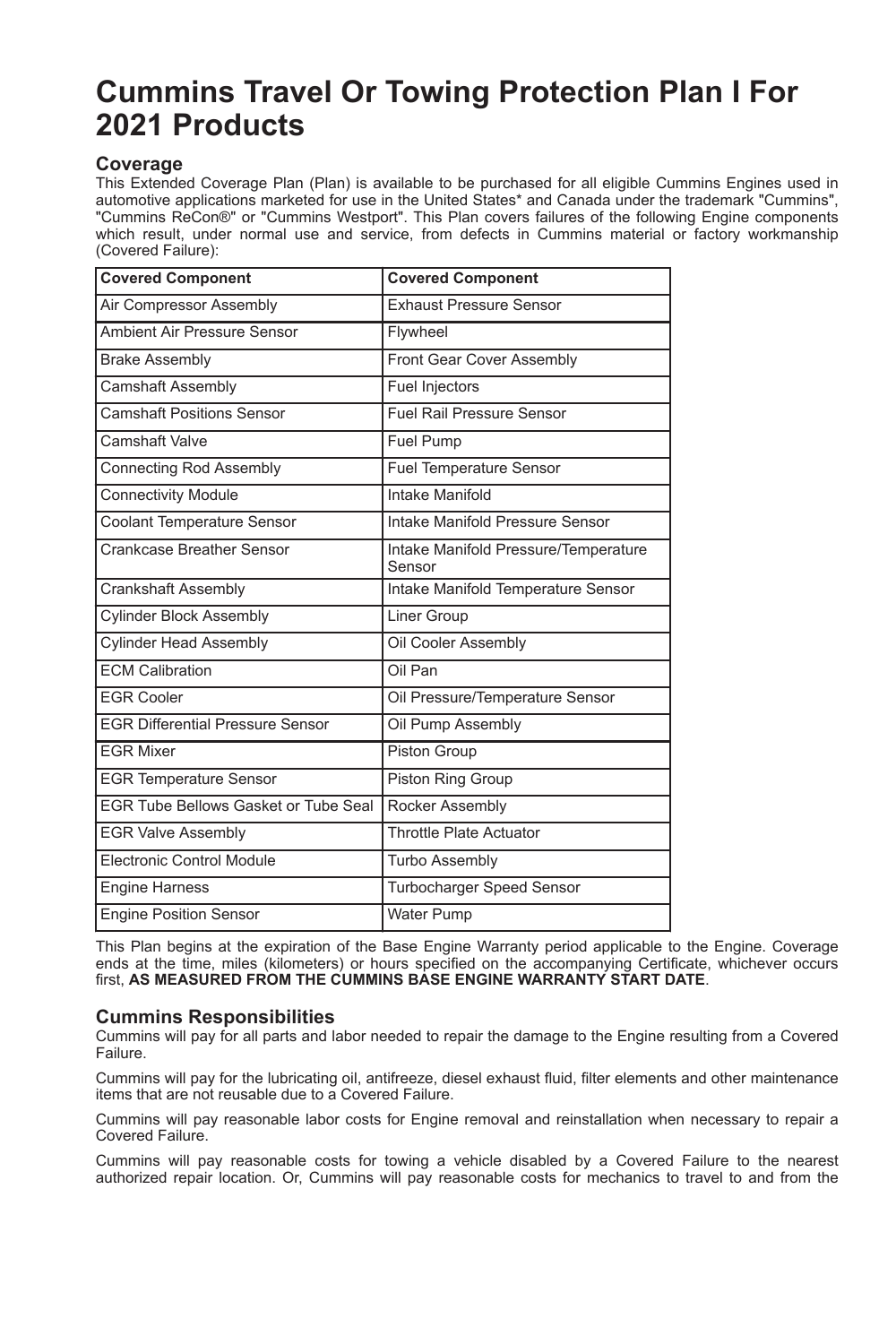# **Cummins Travel Or Towing Protection Plan I For 2021 Products**

## **Coverage**

This Extended Coverage Plan (Plan) is available to be purchased for all eligible Cummins Engines used in automotive applications marketed for use in the United States\* and Canada under the trademark "Cummins", "Cummins ReCon®" or "Cummins Westport". This Plan covers failures of the following Engine components which result, under normal use and service, from defects in Cummins material or factory workmanship (Covered Failure):

| <b>Covered Component</b>                    | <b>Covered Component</b>                       |
|---------------------------------------------|------------------------------------------------|
| Air Compressor Assembly                     | <b>Exhaust Pressure Sensor</b>                 |
| Ambient Air Pressure Sensor                 | Flywheel                                       |
| <b>Brake Assembly</b>                       | Front Gear Cover Assembly                      |
| Camshaft Assembly                           | Fuel Injectors                                 |
| <b>Camshaft Positions Sensor</b>            | <b>Fuel Rail Pressure Sensor</b>               |
| Camshaft Valve                              | Fuel Pump                                      |
| <b>Connecting Rod Assembly</b>              | <b>Fuel Temperature Sensor</b>                 |
| <b>Connectivity Module</b>                  | Intake Manifold                                |
| <b>Coolant Temperature Sensor</b>           | Intake Manifold Pressure Sensor                |
| Crankcase Breather Sensor                   | Intake Manifold Pressure/Temperature<br>Sensor |
| <b>Crankshaft Assembly</b>                  | Intake Manifold Temperature Sensor             |
| <b>Cylinder Block Assembly</b>              | Liner Group                                    |
| <b>Cylinder Head Assembly</b>               | Oil Cooler Assembly                            |
| <b>ECM Calibration</b>                      | Oil Pan                                        |
| <b>FGR Cooler</b>                           | Oil Pressure/Temperature Sensor                |
| <b>EGR Differential Pressure Sensor</b>     | Oil Pump Assembly                              |
| <b>FGR Mixer</b>                            | Piston Group                                   |
| <b>EGR Temperature Sensor</b>               | Piston Ring Group                              |
| <b>EGR Tube Bellows Gasket or Tube Seal</b> | Rocker Assembly                                |
| <b>EGR Valve Assembly</b>                   | <b>Throttle Plate Actuator</b>                 |
| Electronic Control Module                   | <b>Turbo Assembly</b>                          |
| Engine Harness                              | Turbocharger Speed Sensor                      |
| <b>Engine Position Sensor</b>               | <b>Water Pump</b>                              |

This Plan begins at the expiration of the Base Engine Warranty period applicable to the Engine. Coverage ends at the time, miles (kilometers) or hours specified on the accompanying Certificate, whichever occurs first, **AS MEASURED FROM THE CUMMINS BASE ENGINE WARRANTY START DATE**.

# **Cummins Responsibilities**

Cummins will pay for all parts and labor needed to repair the damage to the Engine resulting from a Covered Failure.

Cummins will pay for the lubricating oil, antifreeze, diesel exhaust fluid, filter elements and other maintenance items that are not reusable due to a Covered Failure.

Cummins will pay reasonable labor costs for Engine removal and reinstallation when necessary to repair a Covered Failure.

Cummins will pay reasonable costs for towing a vehicle disabled by a Covered Failure to the nearest authorized repair location. Or, Cummins will pay reasonable costs for mechanics to travel to and from the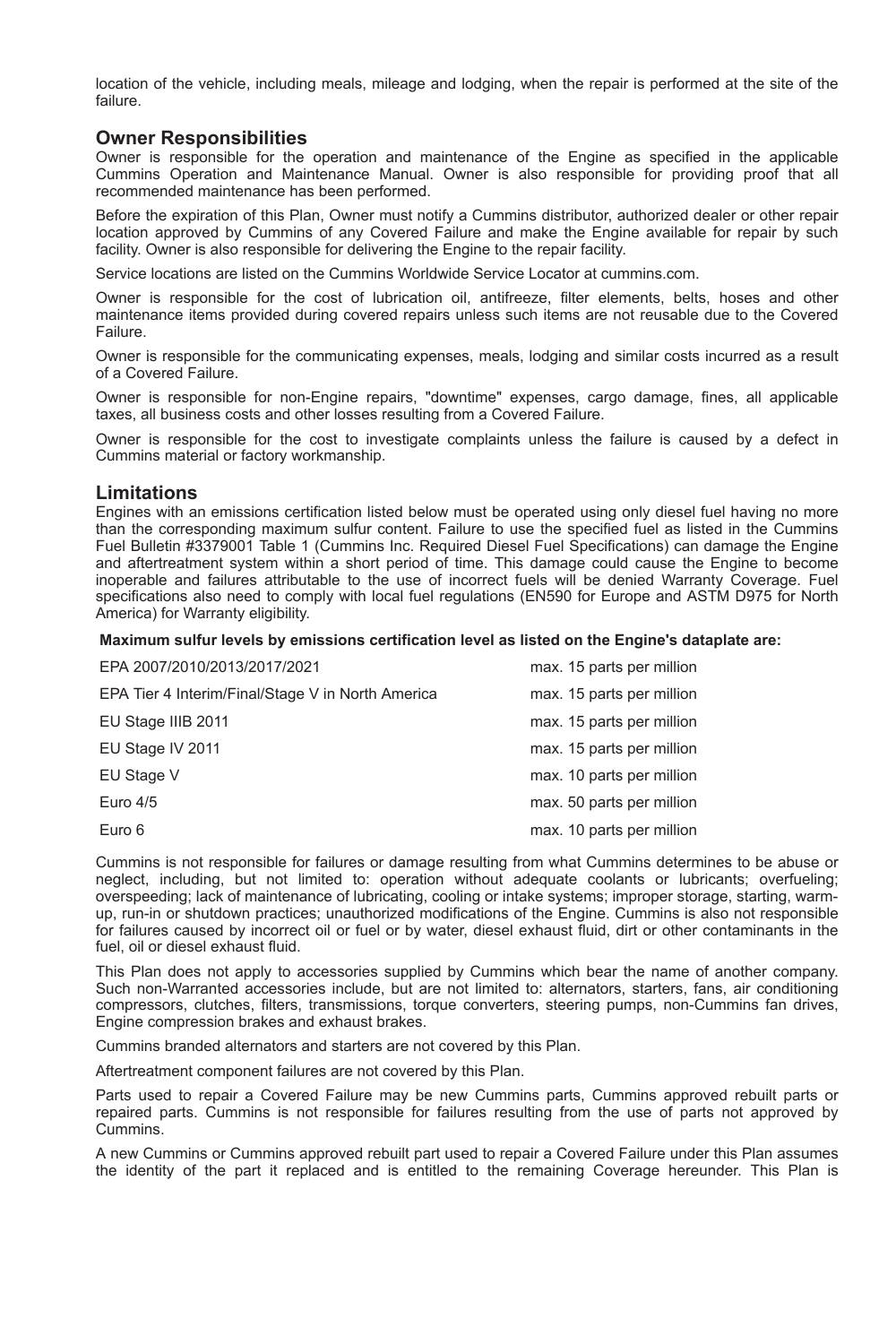location of the vehicle, including meals, mileage and lodging, when the repair is performed at the site of the failure.

## **Owner Responsibilities**

Owner is responsible for the operation and maintenance of the Engine as specified in the applicable Cummins Operation and Maintenance Manual. Owner is also responsible for providing proof that all recommended maintenance has been performed.

Before the expiration of this Plan, Owner must notify a Cummins distributor, authorized dealer or other repair location approved by Cummins of any Covered Failure and make the Engine available for repair by such facility. Owner is also responsible for delivering the Engine to the repair facility.

Service locations are listed on the Cummins Worldwide Service Locator at cummins.com.

Owner is responsible for the cost of lubrication oil, antifreeze, filter elements, belts, hoses and other maintenance items provided during covered repairs unless such items are not reusable due to the Covered Failure.

Owner is responsible for the communicating expenses, meals, lodging and similar costs incurred as a result of a Covered Failure.

Owner is responsible for non-Engine repairs, "downtime" expenses, cargo damage, fines, all applicable taxes, all business costs and other losses resulting from a Covered Failure.

Owner is responsible for the cost to investigate complaints unless the failure is caused by a defect in Cummins material or factory workmanship.

## **Limitations**

Engines with an emissions certification listed below must be operated using only diesel fuel having no more than the corresponding maximum sulfur content. Failure to use the specified fuel as listed in the Cummins Fuel Bulletin #3379001 Table 1 (Cummins Inc. Required Diesel Fuel Specifications) can damage the Engine and aftertreatment system within a short period of time. This damage could cause the Engine to become inoperable and failures attributable to the use of incorrect fuels will be denied Warranty Coverage. Fuel specifications also need to comply with local fuel regulations (EN590 for Europe and ASTM D975 for North America) for Warranty eligibility.

#### **Maximum sulfur levels by emissions certification level as listed on the Engine's dataplate are:**

| EPA 2007/2010/2013/2017/2021                      | max. 15 parts per million |
|---------------------------------------------------|---------------------------|
| EPA Tier 4 Interim/Final/Stage V in North America | max. 15 parts per million |
| EU Stage IIIB 2011                                | max. 15 parts per million |
| EU Stage IV 2011                                  | max. 15 parts per million |
| EU Stage V                                        | max. 10 parts per million |
| Euro 4/5                                          | max. 50 parts per million |
| Euro 6                                            | max. 10 parts per million |

Cummins is not responsible for failures or damage resulting from what Cummins determines to be abuse or neglect, including, but not limited to: operation without adequate coolants or lubricants; overfueling; overspeeding; lack of maintenance of lubricating, cooling or intake systems; improper storage, starting, warmup, run-in or shutdown practices; unauthorized modifications of the Engine. Cummins is also not responsible for failures caused by incorrect oil or fuel or by water, diesel exhaust fluid, dirt or other contaminants in the fuel, oil or diesel exhaust fluid.

This Plan does not apply to accessories supplied by Cummins which bear the name of another company. Such non-Warranted accessories include, but are not limited to: alternators, starters, fans, air conditioning compressors, clutches, filters, transmissions, torque converters, steering pumps, non-Cummins fan drives, Engine compression brakes and exhaust brakes.

Cummins branded alternators and starters are not covered by this Plan.

Aftertreatment component failures are not covered by this Plan.

Parts used to repair a Covered Failure may be new Cummins parts, Cummins approved rebuilt parts or repaired parts. Cummins is not responsible for failures resulting from the use of parts not approved by Cummins.

A new Cummins or Cummins approved rebuilt part used to repair a Covered Failure under this Plan assumes the identity of the part it replaced and is entitled to the remaining Coverage hereunder. This Plan is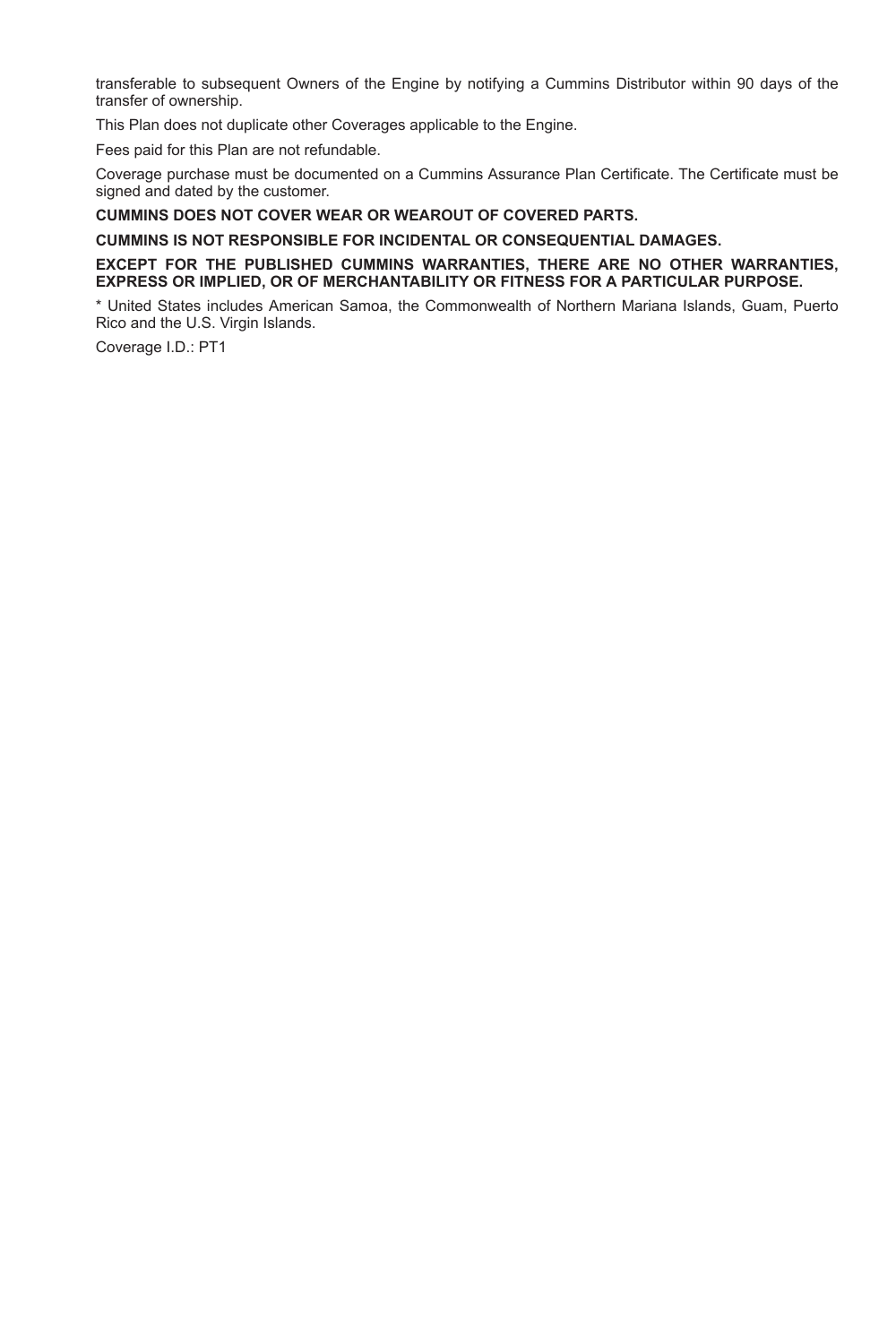transferable to subsequent Owners of the Engine by notifying a Cummins Distributor within 90 days of the transfer of ownership.

This Plan does not duplicate other Coverages applicable to the Engine.

Fees paid for this Plan are not refundable.

Coverage purchase must be documented on a Cummins Assurance Plan Certificate. The Certificate must be signed and dated by the customer.

**CUMMINS DOES NOT COVER WEAR OR WEAROUT OF COVERED PARTS.**

**CUMMINS IS NOT RESPONSIBLE FOR INCIDENTAL OR CONSEQUENTIAL DAMAGES.**

#### **EXCEPT FOR THE PUBLISHED CUMMINS WARRANTIES, THERE ARE NO OTHER WARRANTIES, EXPRESS OR IMPLIED, OR OF MERCHANTABILITY OR FITNESS FOR A PARTICULAR PURPOSE.**

\* United States includes American Samoa, the Commonwealth of Northern Mariana Islands, Guam, Puerto Rico and the U.S. Virgin Islands.

Coverage I.D.: PT1